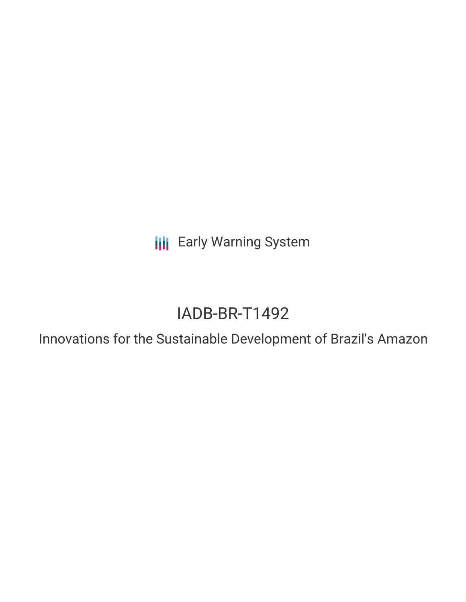**III** Early Warning System

# IADB-BR-T1492

Innovations for the Sustainable Development of Brazil's Amazon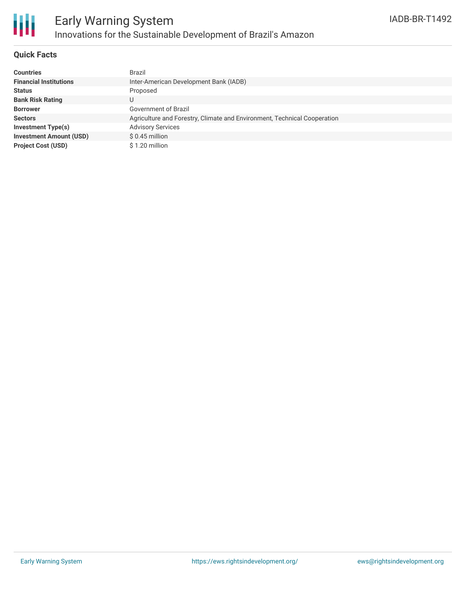

### **Quick Facts**

| <b>Countries</b>               | Brazil                                                                   |
|--------------------------------|--------------------------------------------------------------------------|
| <b>Financial Institutions</b>  | Inter-American Development Bank (IADB)                                   |
| <b>Status</b>                  | Proposed                                                                 |
| <b>Bank Risk Rating</b>        |                                                                          |
| <b>Borrower</b>                | Government of Brazil                                                     |
| <b>Sectors</b>                 | Agriculture and Forestry, Climate and Environment, Technical Cooperation |
| <b>Investment Type(s)</b>      | <b>Advisory Services</b>                                                 |
| <b>Investment Amount (USD)</b> | $$0.45$ million                                                          |
| <b>Project Cost (USD)</b>      | \$1.20 million                                                           |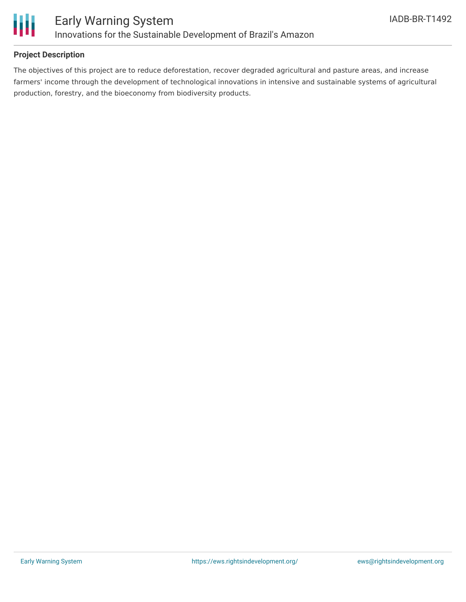

## **Project Description**

The objectives of this project are to reduce deforestation, recover degraded agricultural and pasture areas, and increase farmers' income through the development of technological innovations in intensive and sustainable systems of agricultural production, forestry, and the bioeconomy from biodiversity products.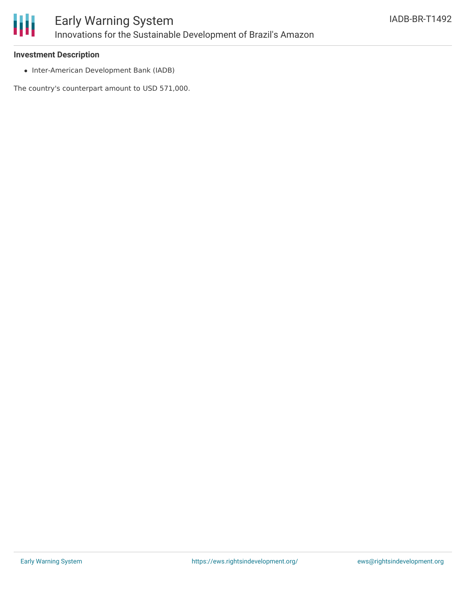

#### **Investment Description**

• Inter-American Development Bank (IADB)

The country's counterpart amount to USD 571,000.